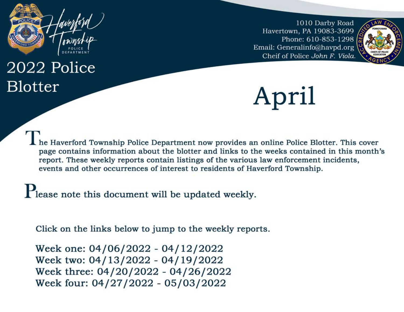

# 2022 Police **Blotter**

1010 Darby Road Havertown, PA 19083-3699 Phone: 610-853-1298 Email: Generalinfo@havpd.org Cheif of Police John F. Viola.



April

The Haverford Township Police Department now provides an online Police Blotter. This cover page contains information about the blotter and links to the weeks contained in this month's report. These weekly reports contain listings of the various law enforcement incidents, events and other occurrences of interest to residents of Haverford Township.

Please note this document will be updated weekly.

Click on the links below to jump to the weekly reports.

Week one: 04/06/2022 - 04/12/2022 Week two: 04/13/2022 - 04/19/2022 Week three: 04/20/2022 - 04/26/2022 Week four: 04/27/2022 - 05/03/2022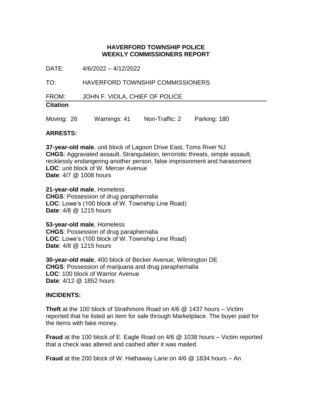DATE: 4/6/2022 – 4/12/2022

TO: HAVERFORD TOWNSHIP COMMISSIONERS

FROM: JOHN F. VIOLA, CHIEF OF POLICE

# **Citation**

Moving: 26 Warnings: 41 Non-Traffic: 2 Parking: 180

#### **ARRESTS:**

**37-year-old male**, unit block of Lagoon Drive East, Toms River NJ **CHGS**: Aggravated assault, Strangulation, terroristic threats, simple assault, recklessly endangering another person, false imprisonment and harassment **LOC**: unit block of W. Mercer Avenue **Date**: 4/7 @ 1008 hours

**21-year-old male**, Homeless **CHGS**: Possession of drug paraphernalia **LOC**: Lowe's (100 block of W. Township Line Road) **Date**: 4/8 @ 1215 hours

**53-year-old male**, Homeless **CHGS**: Possession of drug paraphernalia **LOC**: Lowe's (100 block of W. Township Line Road) **Date**: 4/8 @ 1215 hours

**30-year-old male**, 400 block of Becker Avenue, Wilmington DE **CHGS**: Possession of marijuana and drug paraphernalia **LOC**: 100 block of Warrior Avenue **Date**: 4/12 @ 1852 hours

#### **INCIDENTS:**

**Theft** at the 100 block of Strathmore Road on 4/6 @ 1437 hours – Victim reported that he listed an item for sale through Marketplace. The buyer paid for the items with fake money.

**Fraud** at the 100 block of E. Eagle Road on 4/6 @ 1038 hours – Victim reported that a check was altered and cashed after it was mailed.

**Fraud** at the 200 block of W. Hathaway Lane on 4/6 @ 1834 hours – An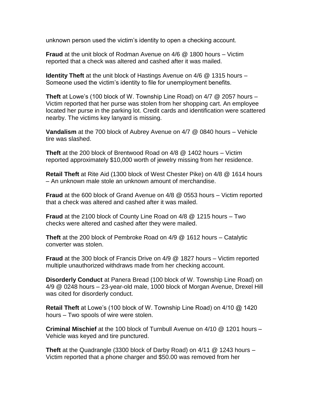unknown person used the victim's identity to open a checking account.

**Fraud** at the unit block of Rodman Avenue on 4/6 @ 1800 hours – Victim reported that a check was altered and cashed after it was mailed.

**Identity Theft** at the unit block of Hastings Avenue on 4/6 @ 1315 hours – Someone used the victim's identity to file for unemployment benefits.

**Theft** at Lowe's (100 block of W. Township Line Road) on 4/7 @ 2057 hours – Victim reported that her purse was stolen from her shopping cart. An employee located her purse in the parking lot. Credit cards and identification were scattered nearby. The victims key lanyard is missing.

**Vandalism** at the 700 block of Aubrey Avenue on 4/7 @ 0840 hours – Vehicle tire was slashed.

**Theft** at the 200 block of Brentwood Road on 4/8 @ 1402 hours – Victim reported approximately \$10,000 worth of jewelry missing from her residence.

**Retail Theft** at Rite Aid (1300 block of West Chester Pike) on 4/8 @ 1614 hours – An unknown male stole an unknown amount of merchandise.

**Fraud** at the 600 block of Grand Avenue on 4/8 @ 0553 hours – Victim reported that a check was altered and cashed after it was mailed.

**Fraud** at the 2100 block of County Line Road on 4/8 @ 1215 hours – Two checks were altered and cashed after they were mailed.

**Theft** at the 200 block of Pembroke Road on 4/9 @ 1612 hours – Catalytic converter was stolen.

**Fraud** at the 300 block of Francis Drive on 4/9 @ 1827 hours – Victim reported multiple unauthorized withdraws made from her checking account.

**Disorderly Conduct** at Panera Bread (100 block of W. Township Line Road) on 4/9 @ 0248 hours – 23-year-old male, 1000 block of Morgan Avenue, Drexel Hill was cited for disorderly conduct.

**Retail Theft** at Lowe's (100 block of W. Township Line Road) on 4/10 @ 1420 hours – Two spools of wire were stolen.

**Criminal Mischief** at the 100 block of Turnbull Avenue on 4/10 @ 1201 hours – Vehicle was keyed and tire punctured.

**Theft** at the Quadrangle (3300 block of Darby Road) on 4/11 @ 1243 hours – Victim reported that a phone charger and \$50.00 was removed from her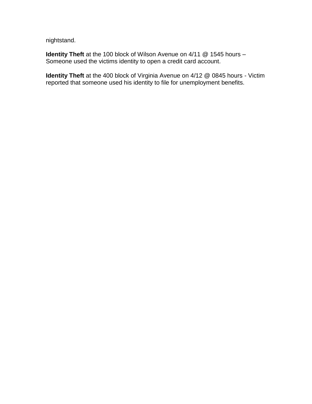nightstand.

**Identity Theft** at the 100 block of Wilson Avenue on 4/11 @ 1545 hours – Someone used the victims identity to open a credit card account.

**Identity Theft** at the 400 block of Virginia Avenue on 4/12 @ 0845 hours - Victim reported that someone used his identity to file for unemployment benefits.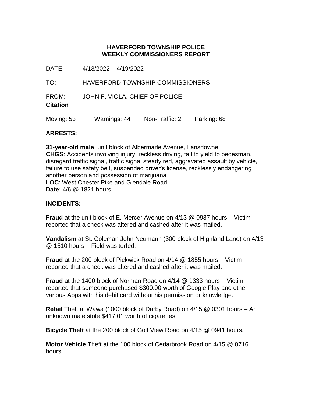DATE: 4/13/2022 – 4/19/2022

TO: HAVERFORD TOWNSHIP COMMISSIONERS

FROM: JOHN F. VIOLA, CHIEF OF POLICE

# **Citation**

Moving: 53 Warnings: 44 Non-Traffic: 2 Parking: 68

#### **ARRESTS:**

**31-year-old male**, unit block of Albermarle Avenue, Lansdowne **CHGS**: Accidents involving injury, reckless driving, fail to yield to pedestrian, disregard traffic signal, traffic signal steady red, aggravated assault by vehicle, failure to use safety belt, suspended driver's license, recklessly endangering another person and possession of marijuana **LOC**: West Chester Pike and Glendale Road **Date**: 4/6 @ 1821 hours

#### **INCIDENTS:**

**Fraud** at the unit block of E. Mercer Avenue on 4/13 @ 0937 hours – Victim reported that a check was altered and cashed after it was mailed.

**Vandalism** at St. Coleman John Neumann (300 block of Highland Lane) on 4/13 @ 1510 hours – Field was turfed.

**Fraud** at the 200 block of Pickwick Road on 4/14 @ 1855 hours – Victim reported that a check was altered and cashed after it was mailed.

**Fraud** at the 1400 block of Norman Road on 4/14 @ 1333 hours – Victim reported that someone purchased \$300.00 worth of Google Play and other various Apps with his debit card without his permission or knowledge.

**Retail** Theft at Wawa (1000 block of Darby Road) on 4/15 @ 0301 hours – An unknown male stole \$417.01 worth of cigarettes.

**Bicycle Theft** at the 200 block of Golf View Road on 4/15 @ 0941 hours.

**Motor Vehicle** Theft at the 100 block of Cedarbrook Road on 4/15 @ 0716 hours.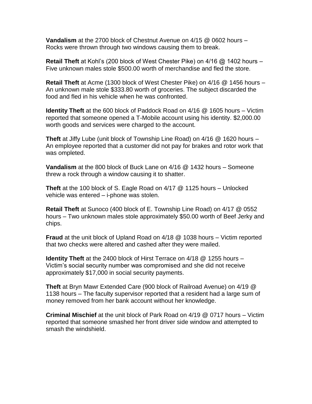**Vandalism** at the 2700 block of Chestnut Avenue on 4/15 @ 0602 hours – Rocks were thrown through two windows causing them to break.

**Retail Theft** at Kohl's (200 block of West Chester Pike) on 4/16 @ 1402 hours – Five unknown males stole \$500.00 worth of merchandise and fled the store.

**Retail Theft** at Acme (1300 block of West Chester Pike) on 4/16 @ 1456 hours – An unknown male stole \$333.80 worth of groceries. The subject discarded the food and fled in his vehicle when he was confronted.

**Identity Theft** at the 600 block of Paddock Road on 4/16 @ 1605 hours – Victim reported that someone opened a T-Mobile account using his identity. \$2,000.00 worth goods and services were charged to the account.

**Theft** at Jiffy Lube (unit block of Township Line Road) on 4/16 @ 1620 hours – An employee reported that a customer did not pay for brakes and rotor work that was ompleted.

**Vandalism** at the 800 block of Buck Lane on 4/16 @ 1432 hours – Someone threw a rock through a window causing it to shatter.

**Theft** at the 100 block of S. Eagle Road on 4/17 @ 1125 hours – Unlocked vehicle was entered – i-phone was stolen.

**Retail Theft** at Sunoco (400 block of E. Township Line Road) on 4/17 @ 0552 hours – Two unknown males stole approximately \$50.00 worth of Beef Jerky and chips.

**Fraud** at the unit block of Upland Road on 4/18 @ 1038 hours – Victim reported that two checks were altered and cashed after they were mailed.

**Identity Theft** at the 2400 block of Hirst Terrace on 4/18 @ 1255 hours – Victim's social security number was compromised and she did not receive approximately \$17,000 in social security payments.

**Theft** at Bryn Mawr Extended Care (900 block of Railroad Avenue) on 4/19 @ 1138 hours – The faculty supervisor reported that a resident had a large sum of money removed from her bank account without her knowledge.

**Criminal Mischief** at the unit block of Park Road on 4/19 @ 0717 hours – Victim reported that someone smashed her front driver side window and attempted to smash the windshield.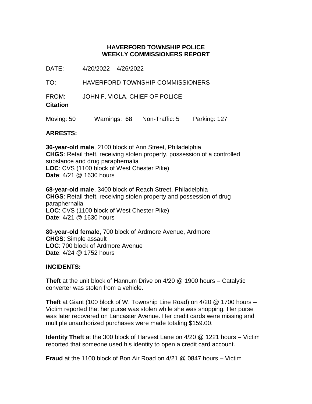DATE: 4/20/2022 – 4/26/2022

TO: HAVERFORD TOWNSHIP COMMISSIONERS

FROM: JOHN F. VIOLA, CHIEF OF POLICE

# **Citation**

Moving: 50 Warnings: 68 Non-Traffic: 5 Parking: 127

#### **ARRESTS:**

**36-year-old male**, 2100 block of Ann Street, Philadelphia **CHGS**: Retail theft, receiving stolen property, possession of a controlled substance and drug paraphernalia **LOC**: CVS (1100 block of West Chester Pike) **Date**: 4/21 @ 1630 hours

**68-year-old male**, 3400 block of Reach Street, Philadelphia **CHGS**: Retail theft, receiving stolen property and possession of drug paraphernalia **LOC**: CVS (1100 block of West Chester Pike) **Date**: 4/21 @ 1630 hours

**80-year-old female**, 700 block of Ardmore Avenue, Ardmore **CHGS**: Simple assault **LOC**: 700 block of Ardmore Avenue **Date**: 4/24 @ 1752 hours

#### **INCIDENTS:**

**Theft** at the unit block of Hannum Drive on 4/20 @ 1900 hours – Catalytic converter was stolen from a vehicle.

**Theft** at Giant (100 block of W. Township Line Road) on 4/20 @ 1700 hours – Victim reported that her purse was stolen while she was shopping. Her purse was later recovered on Lancaster Avenue. Her credit cards were missing and multiple unauthorized purchases were made totaling \$159.00.

**Identity Theft** at the 300 block of Harvest Lane on 4/20 @ 1221 hours – Victim reported that someone used his identity to open a credit card account.

**Fraud** at the 1100 block of Bon Air Road on 4/21 @ 0847 hours – Victim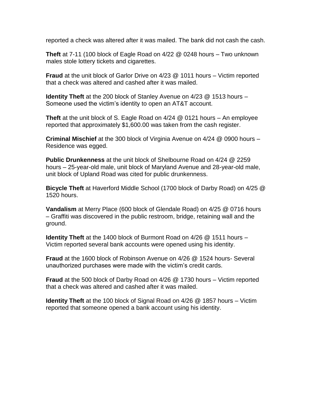reported a check was altered after it was mailed. The bank did not cash the cash.

**Theft** at 7-11 (100 block of Eagle Road on 4/22 @ 0248 hours – Two unknown males stole lottery tickets and cigarettes.

**Fraud** at the unit block of Garlor Drive on 4/23 @ 1011 hours – Victim reported that a check was altered and cashed after it was mailed.

**Identity Theft** at the 200 block of Stanley Avenue on 4/23 @ 1513 hours – Someone used the victim's identity to open an AT&T account.

**Theft** at the unit block of S. Eagle Road on 4/24 @ 0121 hours – An employee reported that approximately \$1,600.00 was taken from the cash register.

**Criminal Mischief** at the 300 block of Virginia Avenue on 4/24 @ 0900 hours – Residence was egged.

**Public Drunkenness** at the unit block of Shelbourne Road on 4/24 @ 2259 hours – 25-year-old male, unit block of Maryland Avenue and 28-year-old male, unit block of Upland Road was cited for public drunkenness.

**Bicycle Theft** at Haverford Middle School (1700 block of Darby Road) on 4/25 @ 1520 hours.

**Vandalism** at Merry Place (600 block of Glendale Road) on 4/25 @ 0716 hours – Graffiti was discovered in the public restroom, bridge, retaining wall and the ground.

**Identity Theft** at the 1400 block of Burmont Road on 4/26 @ 1511 hours – Victim reported several bank accounts were opened using his identity.

**Fraud** at the 1600 block of Robinson Avenue on 4/26 @ 1524 hours- Several unauthorized purchases were made with the victim's credit cards.

**Fraud** at the 500 block of Darby Road on 4/26 @ 1730 hours – Victim reported that a check was altered and cashed after it was mailed.

**Identity Theft** at the 100 block of Signal Road on 4/26 @ 1857 hours – Victim reported that someone opened a bank account using his identity.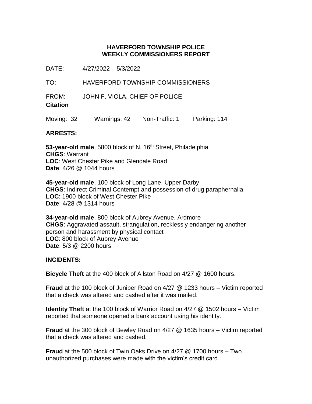DATE: 4/27/2022 – 5/3/2022

TO: HAVERFORD TOWNSHIP COMMISSIONERS

FROM: JOHN F. VIOLA, CHIEF OF POLICE

# **Citation**

Moving: 32 Warnings: 42 Non-Traffic: 1 Parking: 114

#### **ARRESTS:**

53-year-old male, 5800 block of N. 16<sup>th</sup> Street, Philadelphia **CHGS**: Warrant **LOC**: West Chester Pike and Glendale Road **Date**: 4/26 @ 1044 hours

**45-year-old male**, 100 block of Long Lane, Upper Darby **CHGS**: Indirect Criminal Contempt and possession of drug paraphernalia **LOC**: 1900 block of West Chester Pike **Date**: 4/28 @ 1314 hours

**34-year-old male**, 800 block of Aubrey Avenue, Ardmore **CHGS**: Aggravated assault, strangulation, recklessly endangering another person and harassment by physical contact **LOC**: 800 block of Aubrey Avenue **Date**: 5/3 @ 2200 hours

#### **INCIDENTS:**

**Bicycle Theft** at the 400 block of Allston Road on 4/27 @ 1600 hours.

**Fraud** at the 100 block of Juniper Road on 4/27 @ 1233 hours – Victim reported that a check was altered and cashed after it was mailed.

**Identity Theft** at the 100 block of Warrior Road on 4/27 @ 1502 hours – Victim reported that someone opened a bank account using his identity.

**Fraud** at the 300 block of Bewley Road on 4/27 @ 1635 hours – Victim reported that a check was altered and cashed.

**Fraud** at the 500 block of Twin Oaks Drive on 4/27 @ 1700 hours – Two unauthorized purchases were made with the victim's credit card.